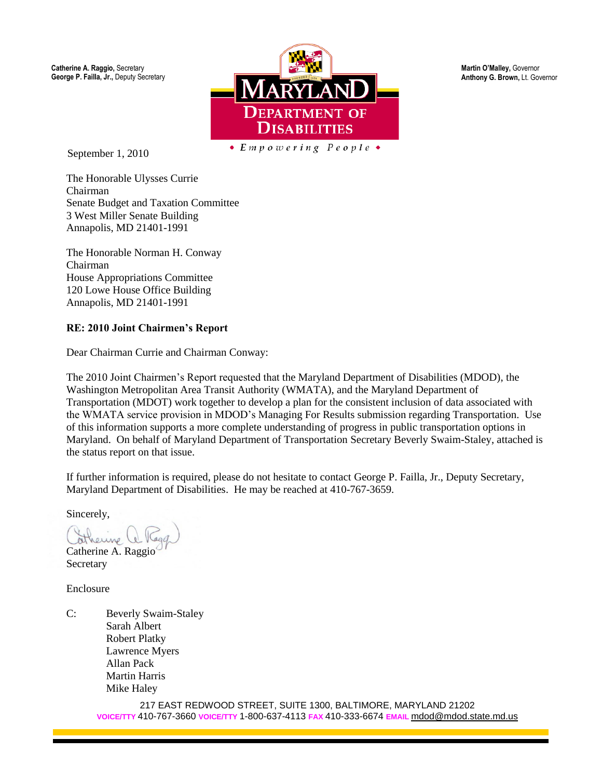**Catherine A. Raggio,** Secretary **George P. Failla, Jr.,** Deputy Secretary



September 1, 2010

 $\bullet$  Empowering People  $\bullet$ 

The Honorable Ulysses Currie Chairman Senate Budget and Taxation Committee 3 West Miller Senate Building Annapolis, MD 21401-1991

The Honorable Norman H. Conway Chairman House Appropriations Committee 120 Lowe House Office Building Annapolis, MD 21401-1991

#### **RE: 2010 Joint Chairmen's Report**

Dear Chairman Currie and Chairman Conway:

The 2010 Joint Chairmen's Report requested that the Maryland Department of Disabilities (MDOD), the Washington Metropolitan Area Transit Authority (WMATA), and the Maryland Department of Transportation (MDOT) work together to develop a plan for the consistent inclusion of data associated with the WMATA service provision in MDOD's Managing For Results submission regarding Transportation. Use of this information supports a more complete understanding of progress in public transportation options in Maryland. On behalf of Maryland Department of Transportation Secretary Beverly Swaim-Staley, attached is the status report on that issue.

If further information is required, please do not hesitate to contact George P. Failla, Jr., Deputy Secretary, Maryland Department of Disabilities. He may be reached at 410-767-3659.

Sincerely,

Catherine A. Raggio

**Secretary** 

Enclosure

C: Beverly Swaim-Staley Sarah Albert Robert Platky Lawrence Myers Allan Pack Martin Harris Mike Haley

> 217 EAST REDWOOD STREET, SUITE 1300, BALTIMORE, MARYLAND 21202 **VOICE/TTY** 410-767-3660 **VOICE/TTY** 1-800-637-4113 **FAX** 410-333-6674 **EMAIL** mdod@mdod.state.md.us

**Martin O'Malley,** Governor **Anthony G. Brown,** Lt. Governor